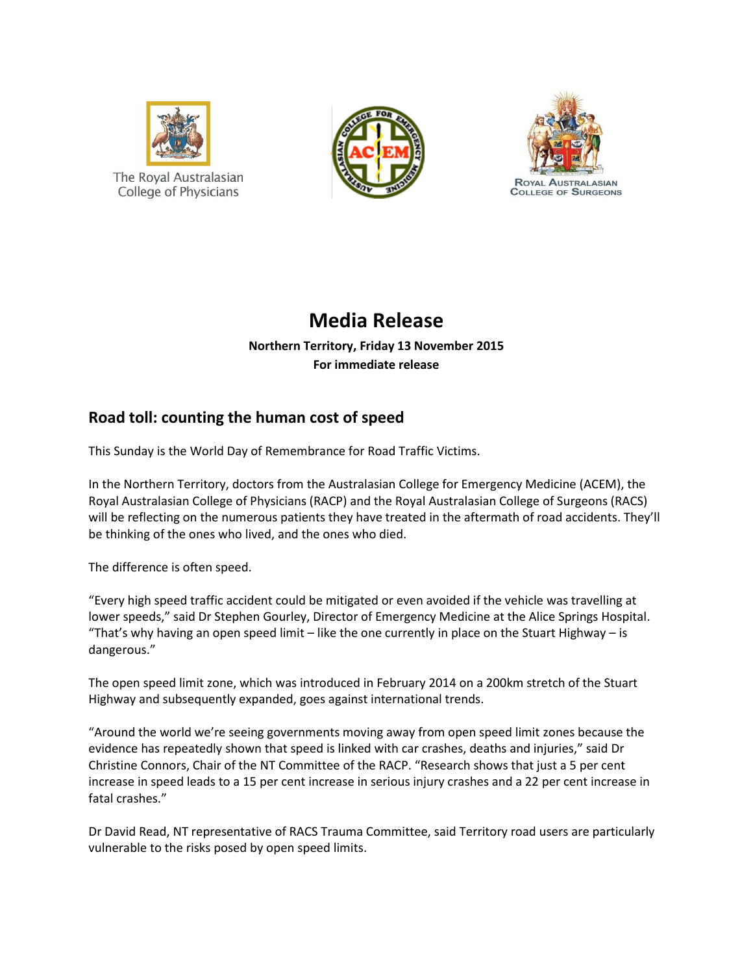





## **Media Release**

**Northern Territory, Friday 13 November 2015 For immediate release**

## **Road toll: counting the human cost of speed**

This Sunday is the World Day of Remembrance for Road Traffic Victims.

In the Northern Territory, doctors from the Australasian College for Emergency Medicine (ACEM), the Royal Australasian College of Physicians (RACP) and the Royal Australasian College of Surgeons (RACS) will be reflecting on the numerous patients they have treated in the aftermath of road accidents. They'll be thinking of the ones who lived, and the ones who died.

The difference is often speed.

"Every high speed traffic accident could be mitigated or even avoided if the vehicle was travelling at lower speeds," said Dr Stephen Gourley, Director of Emergency Medicine at the Alice Springs Hospital. "That's why having an open speed limit – like the one currently in place on the Stuart Highway – is dangerous."

The open speed limit zone, which was introduced in February 2014 on a 200km stretch of the Stuart Highway and subsequently expanded, goes against international trends.

"Around the world we're seeing governments moving away from open speed limit zones because the evidence has repeatedly shown that speed is linked with car crashes, deaths and injuries," said Dr Christine Connors, Chair of the NT Committee of the RACP. "Research shows that just a 5 per cent increase in speed leads to a 15 per cent increase in serious injury crashes and a 22 per cent increase in fatal crashes."

Dr David Read, NT representative of RACS Trauma Committee, said Territory road users are particularly vulnerable to the risks posed by open speed limits.